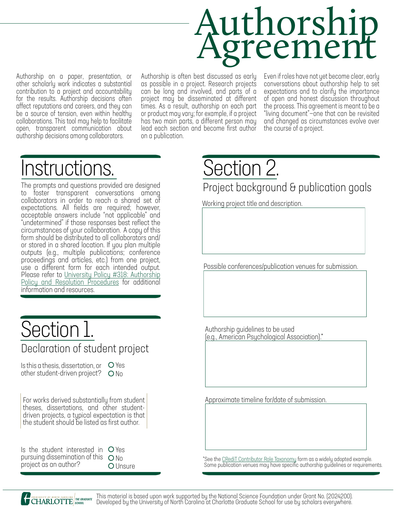# Authorship Agreement

Authorship on a paper, presentation, or other scholarly work indicates a substantial contribution to a project and accountability for the results. Authorship decisions often affect reputations and careers, and they can be a source of tension, even within healthy collaborations. This tool may help to facilitate open, transparent communication about authorship decisions among collaborators.

Authorship is often best discussed as early as possible in a project. Research projects can be long and involved, and parts of a project may be disseminated at different times. As a result, authorship on each part or product may vary; for example, if a project has two main parts, a different person may lead each section and become first author on a publication.

Even if roles have not yet become clear, early conversations about authorship help to set expectations and to clarify the importance of open and honest discussion throughout the process. This agreement is meant to be a "living document"—one that can be revisited and changed as circumstances evolve over the course of a project.

## Instructions.

The prompts and questions provided are designed to foster transparent conversations among collaborators in order to reach a shared set of expectations. All fields are required; however, acceptable answers include "not applicable" and "undetermined" if those responses best reflect the form should be distributed to all collaborators and/ or stored in a shared location. If you plan multiple outputs (e.g., multiple publications; conference proceedings and articles, etc.) from one project, use a different form for each intended output. Policy and Resolution Procedures for additional information and resources.

#### Declaration of student project Section 1.

Is this a thesis, dissertation, or  $\circ$  Yes other student-driven project? No

For works derived substantially from student theses, dissertations, and other studentdriven projects, a typical expectation is that the student should be listed as first author.

|  |                       | Is the student interested in O Yes   |          |
|--|-----------------------|--------------------------------------|----------|
|  |                       | pursuing dissemination of this $ON0$ |          |
|  | project as an author? |                                      | O Unsure |

Section 2.

Project background & publication goals

Working project title and description.

Possible conferences/publication venues for submission.

Authorship guidelines to be used (e.g., American Psychological Association).\*

Approximate timeline for/date of submission.

\*See the [CRediT Contributor Role Taxonomy](https://casrai.org/credit/) form as a widely adopted example. Some publication venues may have specific authorship guidelines or requirements.

THE GRADWATE This material is based upon work supported by the National Science Foundation under Grant No. (2024200).<br>BEHOOL DEVELOPED by the University of North Carolina at Charlotte Graduate School for use by scholars ev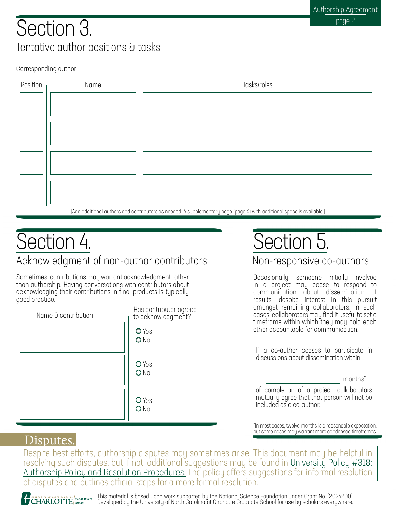#### Tentative author positions & tasks Section 3.

Corresponding author:

| Position | Name | Tasks/roles                                                                                                            |
|----------|------|------------------------------------------------------------------------------------------------------------------------|
|          |      |                                                                                                                        |
|          |      |                                                                                                                        |
|          |      |                                                                                                                        |
|          |      |                                                                                                                        |
|          |      |                                                                                                                        |
|          |      |                                                                                                                        |
|          |      |                                                                                                                        |
|          |      |                                                                                                                        |
|          |      | [Add additional authors and contributors as needed. A supplementary page (page 4) with additional space is available.] |

#### Acknowledgment of non-author contributors Section 4.

Sometimes, contributions may warrant acknowledgment rather than authorship. Having conversations with contributors about acknowledging their contributions in final products is typically good practice.

| Name & contribution | Has contributor agreed<br>to acknowledgment? |
|---------------------|----------------------------------------------|
|                     | O Yes<br>ONO                                 |
|                     | O Yes<br>ON <sub>0</sub>                     |
|                     | O Yes<br>ON <sub>0</sub>                     |

# Section 5.

Non-responsive co-authors

Occasionally, someone initially involved in a project may cease to respond to communication about dissemination of results, despite interest in this pursuit amongst remaining collaborators. In such cases, collaborators may find it useful to set a timeframe within which they may hold each other accountable for communication.

If a co-author ceases to participate in discussions about dissemination within



of completion of a project, collaborators mutually agree that that person will not be included as a co-author.

\*In most cases, twelve months is a reasonable expectation, but some cases may warrant more condensed timeframes.

#### Disputes.

Despite best efforts, authorship disputes may sometimes arise. This document may be helpful in [resolving such disputes, but if not, additional s](https://legal.uncc.edu/policies/up-318)uggestions may be found in [University Policy #318: Authorship Policy and Resolution Procedures.](https://legal.uncc.edu/policies/up-318) The policy offers suggestion[s for informal resolution](https://legal.uncc.edu/policies/up-318) of disputes and outlines official steps for a more formal resolution.

THE ORADUATE This material is based upon work supported by the National Science Foundation under Grant No. (2024200).<br>BEHOOL DEVeloped by the University of North Carolina at Charlotte Graduate School for use by scholars ev UNIVERSITY OF NORTH CAROLINA THE GRADUATE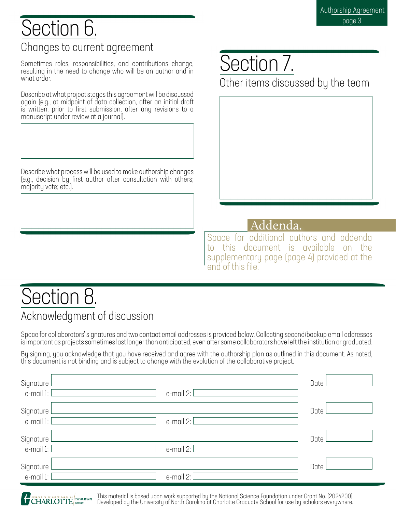#### Changes to current agreement Section 6.

Sometimes roles, responsibilities, and contributions change, resulting in the need to change who will be an author and in what order.

Describe at what project stages this agreement will be discussed again (e.g., at midpoint of data collection, after an initial draft is written, prior to first submission, after any revisions to a manuscript under review at a journal).

Describe what process will be used to make authorship changes (e.g., decision by first author after consultation with others; majority vote; etc.).

### Section 7.

Other items discussed by the team

#### Addenda.

Space for additional authors and addenda to this document is available on the supplementary page (page 4) provided at the end of this file.

## Section 8.

#### Acknowledgment of discussion

Space for collaborators' signatures and two contact email addresses is provided below. Collecting second/backup email addresses is important as projects sometimes last longer than anticipated, even after some collaborators have left the institution or graduated.

By signing, you acknowledge that you have received and agree with the authorship plan as outlined in this document. As noted, this document is not binding and is subject to change with the evolution of the collaborative project.

| Signature I<br>e-mail 1: [ | e-mail $2:$  | Date l |  |
|----------------------------|--------------|--------|--|
| Signature I<br>e-mail 1: [ | e-mail 2: [  | Date   |  |
| Signature l<br>e-mail 1: [ | $e$ -mail 2: | Date   |  |
| Signature I<br>e-mail 1: [ | e-mail 2: [  | Date   |  |

THE ORADUATE This material is based upon work supported by the National Science Foundation under Grant No. (2024200).<br>BEHOOL DEVeloped by the University of North Carolina at Charlotte Graduate School for use by scholars ev **CHARLOTTE** SCHOOL